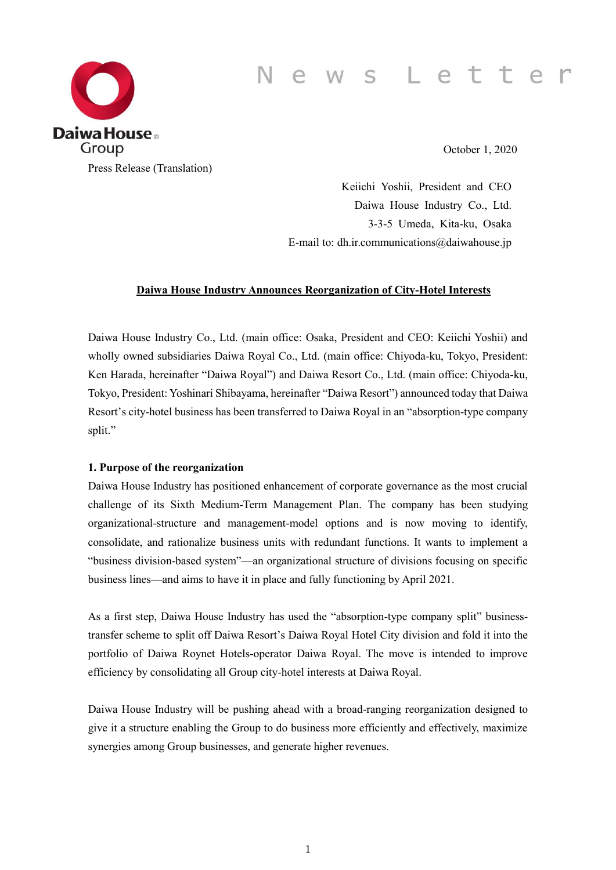# News Letter



October 1, 2020

Keiichi Yoshii, President and CEO Daiwa House Industry Co., Ltd. 3-3-5 Umeda, Kita-ku, Osaka E-mail to: dh.ir.communications@daiwahouse.jp

#### **Daiwa House Industry Announces Reorganization of City-Hotel Interests**

Daiwa House Industry Co., Ltd. (main office: Osaka, President and CEO: Keiichi Yoshii) and wholly owned subsidiaries Daiwa Royal Co., Ltd. (main office: Chiyoda-ku, Tokyo, President: Ken Harada, hereinafter "Daiwa Royal") and Daiwa Resort Co., Ltd. (main office: Chiyoda-ku, Tokyo, President: Yoshinari Shibayama, hereinafter "Daiwa Resort") announced today that Daiwa Resort's city-hotel business has been transferred to Daiwa Royal in an "absorption-type company split."

#### **1. Purpose of the reorganization**

Daiwa House Industry has positioned enhancement of corporate governance as the most crucial challenge of its Sixth Medium-Term Management Plan. The company has been studying organizational-structure and management-model options and is now moving to identify, consolidate, and rationalize business units with redundant functions. It wants to implement a "business division-based system"—an organizational structure of divisions focusing on specific business lines—and aims to have it in place and fully functioning by April 2021.

As a first step, Daiwa House Industry has used the "absorption-type company split" businesstransfer scheme to split off Daiwa Resort's Daiwa Royal Hotel City division and fold it into the portfolio of Daiwa Roynet Hotels-operator Daiwa Royal. The move is intended to improve efficiency by consolidating all Group city-hotel interests at Daiwa Royal.

Daiwa House Industry will be pushing ahead with a broad-ranging reorganization designed to give it a structure enabling the Group to do business more efficiently and effectively, maximize synergies among Group businesses, and generate higher revenues.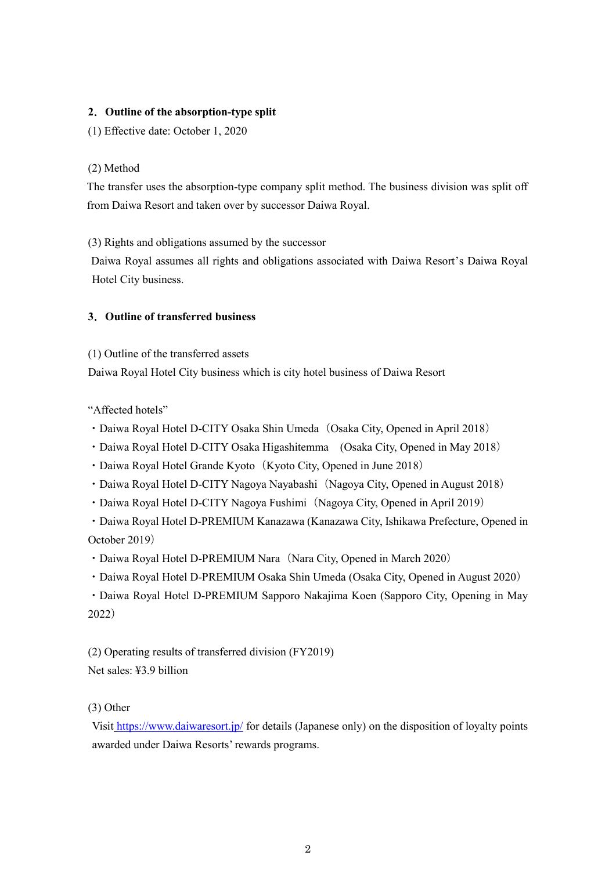# **2**.**Outline of the absorption-type split**

(1) Effective date: October 1, 2020

# (2) Method

The transfer uses the absorption-type company split method. The business division was split off from Daiwa Resort and taken over by successor Daiwa Royal.

(3) Rights and obligations assumed by the successor

 Daiwa Royal assumes all rights and obligations associated with Daiwa Resort's Daiwa Royal Hotel City business.

# **3**.**Outline of transferred business**

(1) Outline of the transferred assets

Daiwa Royal Hotel City business which is city hotel business of Daiwa Resort

"Affected hotels"

- Daiwa Royal Hotel D-CITY Osaka Shin Umeda (Osaka City, Opened in April 2018)
- ・Daiwa Royal Hotel D-CITY Osaka Higashitemma (Osaka City, Opened in May 2018)
- Daiwa Royal Hotel Grande Kyoto (Kyoto City, Opened in June 2018)
- Daiwa Royal Hotel D-CITY Nagoya Nayabashi (Nagoya City, Opened in August 2018)
- Daiwa Royal Hotel D-CITY Nagoya Fushimi (Nagoya City, Opened in April 2019)

・Daiwa Royal Hotel D-PREMIUM Kanazawa (Kanazawa City, Ishikawa Prefecture, Opened in October 2019)

• Daiwa Royal Hotel D-PREMIUM Nara (Nara City, Opened in March 2020)

・Daiwa Royal Hotel D-PREMIUM Osaka Shin Umeda (Osaka City, Opened in August 2020)

・Daiwa Royal Hotel D-PREMIUM Sapporo Nakajima Koen (Sapporo City, Opening in May 2022)

(2) Operating results of transferred division (FY2019) Net sales: ¥3.9 billion

(3) Other

Visit [https://www.daiwaresort.jp/](https://www.daiwaresort.jp/chain/) for details (Japanese only) on the disposition of loyalty points awarded under Daiwa Resorts' rewards programs.